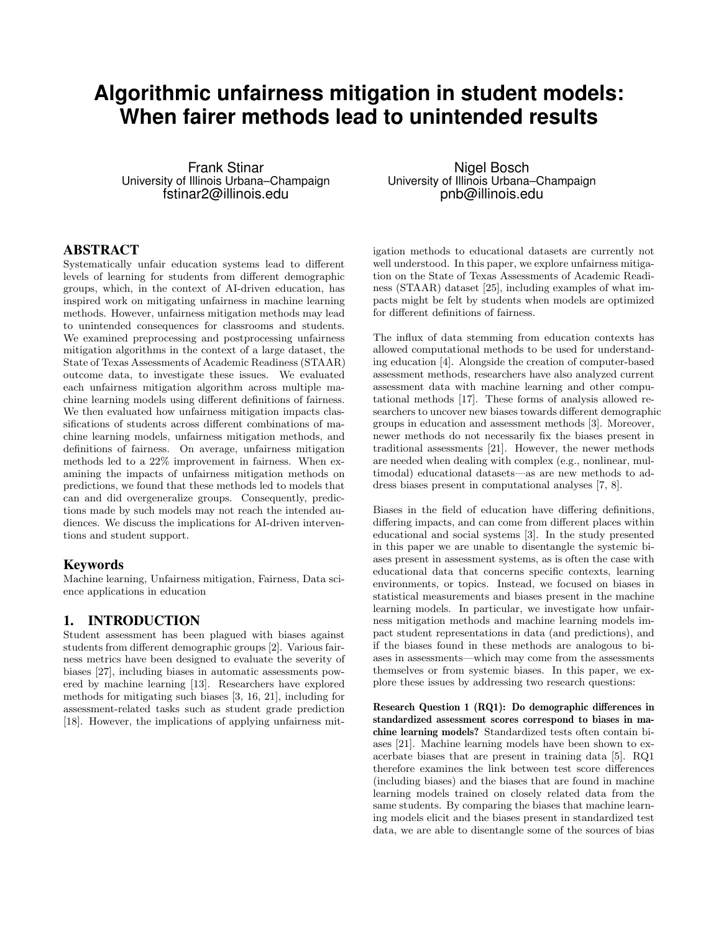# **Algorithmic unfairness mitigation in student models: When fairer methods lead to unintended results**

Frank Stinar University of Illinois Urbana–Champaign fstinar2@illinois.edu

#### ABSTRACT

Systematically unfair education systems lead to different levels of learning for students from different demographic groups, which, in the context of AI-driven education, has inspired work on mitigating unfairness in machine learning methods. However, unfairness mitigation methods may lead to unintended consequences for classrooms and students. We examined preprocessing and postprocessing unfairness mitigation algorithms in the context of a large dataset, the State of Texas Assessments of Academic Readiness (STAAR) outcome data, to investigate these issues. We evaluated each unfairness mitigation algorithm across multiple machine learning models using different definitions of fairness. We then evaluated how unfairness mitigation impacts classifications of students across different combinations of machine learning models, unfairness mitigation methods, and definitions of fairness. On average, unfairness mitigation methods led to a 22% improvement in fairness. When examining the impacts of unfairness mitigation methods on predictions, we found that these methods led to models that can and did overgeneralize groups. Consequently, predictions made by such models may not reach the intended audiences. We discuss the implications for AI-driven interventions and student support.

#### Keywords

Machine learning, Unfairness mitigation, Fairness, Data science applications in education

# 1. INTRODUCTION

Student assessment has been plagued with biases against students from different demographic groups [2]. Various fairness metrics have been designed to evaluate the severity of biases [27], including biases in automatic assessments powered by machine learning [13]. Researchers have explored methods for mitigating such biases [3, 16, 21], including for assessment-related tasks such as student grade prediction [18]. However, the implications of applying unfairness mit-

Nigel Bosch University of Illinois Urbana–Champaign pnb@illinois.edu

igation methods to educational datasets are currently not well understood. In this paper, we explore unfairness mitigation on the State of Texas Assessments of Academic Readiness (STAAR) dataset [25], including examples of what impacts might be felt by students when models are optimized for different definitions of fairness.

The influx of data stemming from education contexts has allowed computational methods to be used for understanding education [4]. Alongside the creation of computer-based assessment methods, researchers have also analyzed current assessment data with machine learning and other computational methods [17]. These forms of analysis allowed researchers to uncover new biases towards different demographic groups in education and assessment methods [3]. Moreover, newer methods do not necessarily fix the biases present in traditional assessments [21]. However, the newer methods are needed when dealing with complex (e.g., nonlinear, multimodal) educational datasets—as are new methods to address biases present in computational analyses [7, 8].

Biases in the field of education have differing definitions, differing impacts, and can come from different places within educational and social systems [3]. In the study presented in this paper we are unable to disentangle the systemic biases present in assessment systems, as is often the case with educational data that concerns specific contexts, learning environments, or topics. Instead, we focused on biases in statistical measurements and biases present in the machine learning models. In particular, we investigate how unfairness mitigation methods and machine learning models impact student representations in data (and predictions), and if the biases found in these methods are analogous to biases in assessments—which may come from the assessments themselves or from systemic biases. In this paper, we explore these issues by addressing two research questions:

Research Question 1 (RQ1): Do demographic differences in standardized assessment scores correspond to biases in machine learning models? Standardized tests often contain biases [21]. Machine learning models have been shown to exacerbate biases that are present in training data [5]. RQ1 therefore examines the link between test score differences (including biases) and the biases that are found in machine learning models trained on closely related data from the same students. By comparing the biases that machine learning models elicit and the biases present in standardized test data, we are able to disentangle some of the sources of bias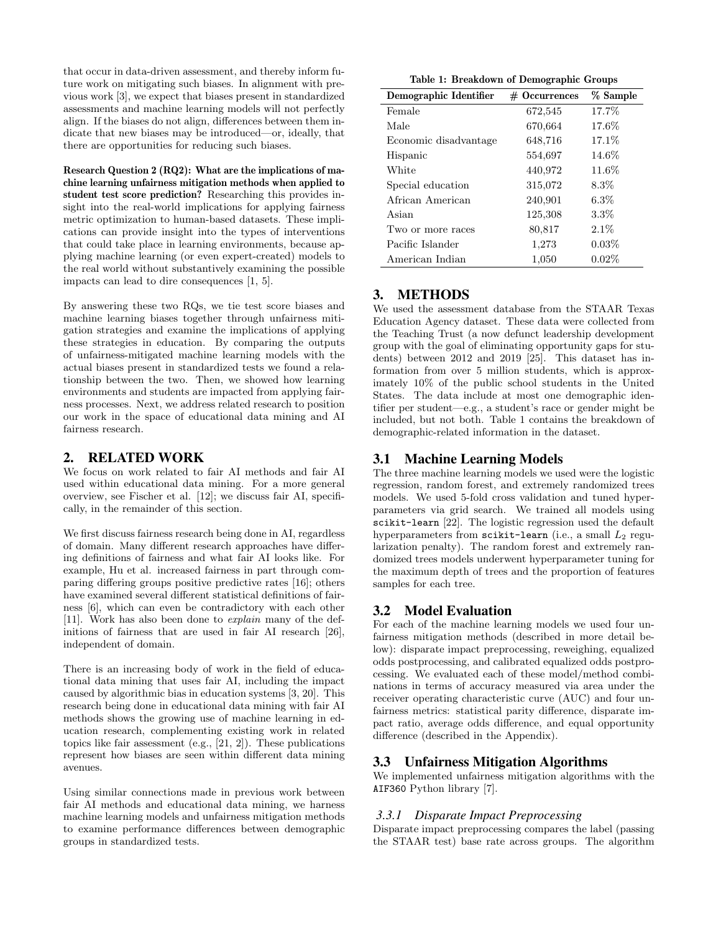that occur in data-driven assessment, and thereby inform future work on mitigating such biases. In alignment with previous work [3], we expect that biases present in standardized assessments and machine learning models will not perfectly align. If the biases do not align, differences between them indicate that new biases may be introduced—or, ideally, that there are opportunities for reducing such biases.

Research Question 2 (RQ2): What are the implications of machine learning unfairness mitigation methods when applied to student test score prediction? Researching this provides insight into the real-world implications for applying fairness metric optimization to human-based datasets. These implications can provide insight into the types of interventions that could take place in learning environments, because applying machine learning (or even expert-created) models to the real world without substantively examining the possible impacts can lead to dire consequences [1, 5].

By answering these two RQs, we tie test score biases and machine learning biases together through unfairness mitigation strategies and examine the implications of applying these strategies in education. By comparing the outputs of unfairness-mitigated machine learning models with the actual biases present in standardized tests we found a relationship between the two. Then, we showed how learning environments and students are impacted from applying fairness processes. Next, we address related research to position our work in the space of educational data mining and AI fairness research.

# 2. RELATED WORK

We focus on work related to fair AI methods and fair AI used within educational data mining. For a more general overview, see Fischer et al. [12]; we discuss fair AI, specifically, in the remainder of this section.

We first discuss fairness research being done in AI, regardless of domain. Many different research approaches have differing definitions of fairness and what fair AI looks like. For example, Hu et al. increased fairness in part through comparing differing groups positive predictive rates [16]; others have examined several different statistical definitions of fairness [6], which can even be contradictory with each other [11]. Work has also been done to explain many of the definitions of fairness that are used in fair AI research [26], independent of domain.

There is an increasing body of work in the field of educational data mining that uses fair AI, including the impact caused by algorithmic bias in education systems [3, 20]. This research being done in educational data mining with fair AI methods shows the growing use of machine learning in education research, complementing existing work in related topics like fair assessment (e.g.,  $[21, 2]$ ). These publications represent how biases are seen within different data mining avenues.

Using similar connections made in previous work between fair AI methods and educational data mining, we harness machine learning models and unfairness mitigation methods to examine performance differences between demographic groups in standardized tests.

Table 1: Breakdown of Demographic Groups

| Demographic Identifier | $#$ Occurrences | % Sample |  |
|------------------------|-----------------|----------|--|
| Female                 | 672,545         | 17.7%    |  |
| Male                   | 670,664         | 17.6%    |  |
| Economic disadvantage  | 648,716         | 17.1%    |  |
| Hispanic               | 554,697         | 14.6%    |  |
| White                  | 440,972         | 11.6%    |  |
| Special education      | 315,072         | $8.3\%$  |  |
| African American       | 240,901         | $6.3\%$  |  |
| Asian                  | 125,308         | $3.3\%$  |  |
| Two or more races      | 80,817          | $2.1\%$  |  |
| Pacific Islander       | 1,273           | 0.03%    |  |
| American Indian        | 1,050           | $0.02\%$ |  |

# 3. METHODS

We used the assessment database from the STAAR Texas Education Agency dataset. These data were collected from the Teaching Trust (a now defunct leadership development group with the goal of eliminating opportunity gaps for students) between 2012 and 2019 [25]. This dataset has information from over 5 million students, which is approximately 10% of the public school students in the United States. The data include at most one demographic identifier per student—e.g., a student's race or gender might be included, but not both. Table 1 contains the breakdown of demographic-related information in the dataset.

# 3.1 Machine Learning Models

The three machine learning models we used were the logistic regression, random forest, and extremely randomized trees models. We used 5-fold cross validation and tuned hyperparameters via grid search. We trained all models using scikit-learn [22]. The logistic regression used the default hyperparameters from scikit-learn (i.e., a small  $L_2$  regularization penalty). The random forest and extremely randomized trees models underwent hyperparameter tuning for the maximum depth of trees and the proportion of features samples for each tree.

## 3.2 Model Evaluation

For each of the machine learning models we used four unfairness mitigation methods (described in more detail below): disparate impact preprocessing, reweighing, equalized odds postprocessing, and calibrated equalized odds postprocessing. We evaluated each of these model/method combinations in terms of accuracy measured via area under the receiver operating characteristic curve (AUC) and four unfairness metrics: statistical parity difference, disparate impact ratio, average odds difference, and equal opportunity difference (described in the Appendix).

## 3.3 Unfairness Mitigation Algorithms

We implemented unfairness mitigation algorithms with the AIF360 Python library [7].

## *3.3.1 Disparate Impact Preprocessing*

Disparate impact preprocessing compares the label (passing the STAAR test) base rate across groups. The algorithm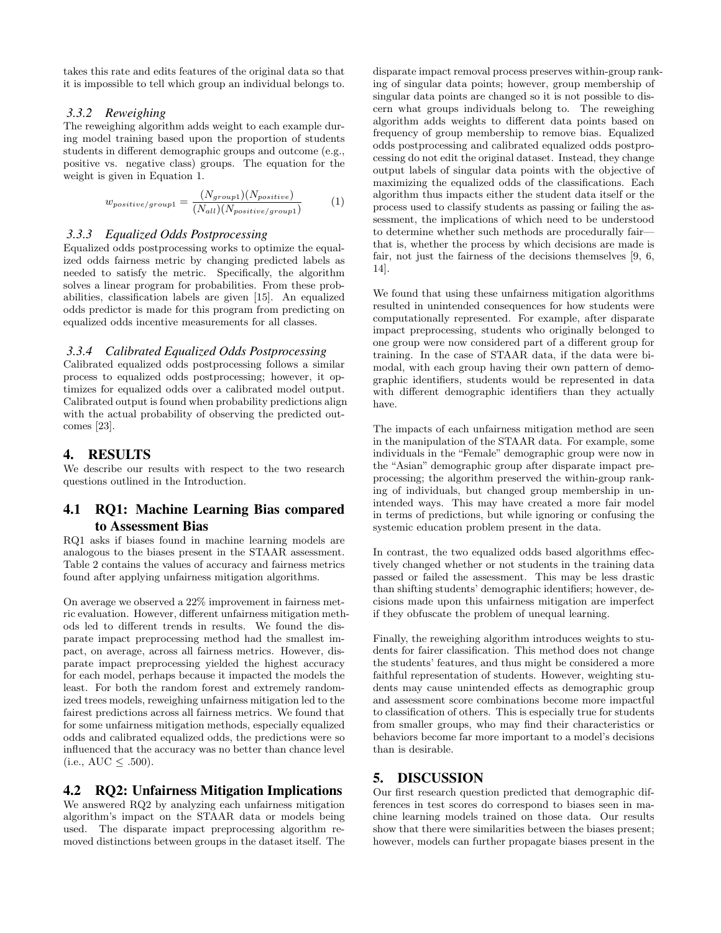takes this rate and edits features of the original data so that it is impossible to tell which group an individual belongs to.

#### *3.3.2 Reweighing*

The reweighing algorithm adds weight to each example during model training based upon the proportion of students students in different demographic groups and outcome (e.g., positive vs. negative class) groups. The equation for the weight is given in Equation 1.

$$
w_{positive/group1} = \frac{(N_{group1})(N_{positive})}{(N_{all})(N_{positive/group1})}
$$
(1)

## *3.3.3 Equalized Odds Postprocessing*

Equalized odds postprocessing works to optimize the equalized odds fairness metric by changing predicted labels as needed to satisfy the metric. Specifically, the algorithm solves a linear program for probabilities. From these probabilities, classification labels are given [15]. An equalized odds predictor is made for this program from predicting on equalized odds incentive measurements for all classes.

#### *3.3.4 Calibrated Equalized Odds Postprocessing*

Calibrated equalized odds postprocessing follows a similar process to equalized odds postprocessing; however, it optimizes for equalized odds over a calibrated model output. Calibrated output is found when probability predictions align with the actual probability of observing the predicted outcomes [23].

#### 4. RESULTS

We describe our results with respect to the two research questions outlined in the Introduction.

# 4.1 RQ1: Machine Learning Bias compared to Assessment Bias

RQ1 asks if biases found in machine learning models are analogous to the biases present in the STAAR assessment. Table 2 contains the values of accuracy and fairness metrics found after applying unfairness mitigation algorithms.

On average we observed a 22% improvement in fairness metric evaluation. However, different unfairness mitigation methods led to different trends in results. We found the disparate impact preprocessing method had the smallest impact, on average, across all fairness metrics. However, disparate impact preprocessing yielded the highest accuracy for each model, perhaps because it impacted the models the least. For both the random forest and extremely randomized trees models, reweighing unfairness mitigation led to the fairest predictions across all fairness metrics. We found that for some unfairness mitigation methods, especially equalized odds and calibrated equalized odds, the predictions were so influenced that the accuracy was no better than chance level  $(i.e., AUC < .500).$ 

## 4.2 RQ2: Unfairness Mitigation Implications

We answered RQ2 by analyzing each unfairness mitigation algorithm's impact on the STAAR data or models being used. The disparate impact preprocessing algorithm removed distinctions between groups in the dataset itself. The

disparate impact removal process preserves within-group ranking of singular data points; however, group membership of singular data points are changed so it is not possible to discern what groups individuals belong to. The reweighing algorithm adds weights to different data points based on frequency of group membership to remove bias. Equalized odds postprocessing and calibrated equalized odds postprocessing do not edit the original dataset. Instead, they change output labels of singular data points with the objective of maximizing the equalized odds of the classifications. Each algorithm thus impacts either the student data itself or the process used to classify students as passing or failing the assessment, the implications of which need to be understood to determine whether such methods are procedurally fair that is, whether the process by which decisions are made is fair, not just the fairness of the decisions themselves [9, 6, 14].

We found that using these unfairness mitigation algorithms resulted in unintended consequences for how students were computationally represented. For example, after disparate impact preprocessing, students who originally belonged to one group were now considered part of a different group for training. In the case of STAAR data, if the data were bimodal, with each group having their own pattern of demographic identifiers, students would be represented in data with different demographic identifiers than they actually have.

The impacts of each unfairness mitigation method are seen in the manipulation of the STAAR data. For example, some individuals in the "Female" demographic group were now in the "Asian" demographic group after disparate impact preprocessing; the algorithm preserved the within-group ranking of individuals, but changed group membership in unintended ways. This may have created a more fair model in terms of predictions, but while ignoring or confusing the systemic education problem present in the data.

In contrast, the two equalized odds based algorithms effectively changed whether or not students in the training data passed or failed the assessment. This may be less drastic than shifting students' demographic identifiers; however, decisions made upon this unfairness mitigation are imperfect if they obfuscate the problem of unequal learning.

Finally, the reweighing algorithm introduces weights to students for fairer classification. This method does not change the students' features, and thus might be considered a more faithful representation of students. However, weighting students may cause unintended effects as demographic group and assessment score combinations become more impactful to classification of others. This is especially true for students from smaller groups, who may find their characteristics or behaviors become far more important to a model's decisions than is desirable.

## 5. DISCUSSION

Our first research question predicted that demographic differences in test scores do correspond to biases seen in machine learning models trained on those data. Our results show that there were similarities between the biases present; however, models can further propagate biases present in the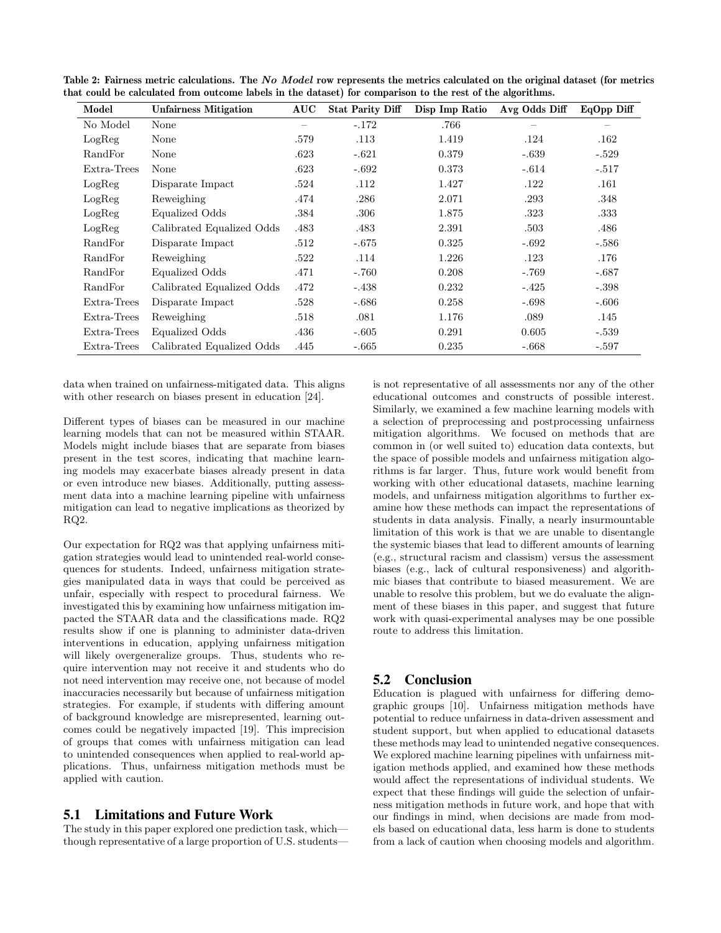| Model       | <b>Unfairness Mitigation</b> | AUC  | <b>Stat Parity Diff</b> | Disp Imp Ratio | Avg Odds Diff | EqOpp Diff |
|-------------|------------------------------|------|-------------------------|----------------|---------------|------------|
| No Model    | None                         |      | $-.172$                 | .766           |               |            |
| LogReg      | None                         | .579 | .113                    | 1.419          | .124          | .162       |
| RandFor     | None                         | .623 | $-.621$                 | 0.379          | $-.639$       | $-.529$    |
| Extra-Trees | None                         | .623 | $-.692$                 | 0.373          | $-.614$       | $-.517$    |
| LogReg      | Disparate Impact             | .524 | .112                    | 1.427          | .122          | .161       |
| LogReg      | Reweighing                   | .474 | .286                    | 2.071          | .293          | .348       |
| LogReg      | Equalized Odds               | .384 | .306                    | 1.875          | .323          | .333       |
| LogReg      | Calibrated Equalized Odds    | .483 | .483                    | 2.391          | .503          | .486       |
| RandFor     | Disparate Impact             | .512 | $-.675$                 | 0.325          | $-.692$       | $-.586$    |
| RandFor     | Reweighing                   | .522 | .114                    | 1.226          | .123          | .176       |
| RandFor     | Equalized Odds               | .471 | $-.760$                 | 0.208          | $-.769$       | $-.687$    |
| RandFor     | Calibrated Equalized Odds    | .472 | $-.438$                 | 0.232          | $-.425$       | $-.398$    |
| Extra-Trees | Disparate Impact             | .528 | $-.686$                 | 0.258          | $-.698$       | $-.606$    |
| Extra-Trees | Reweighing                   | .518 | .081                    | 1.176          | .089          | .145       |
| Extra-Trees | Equalized Odds               | .436 | $-.605$                 | 0.291          | 0.605         | $-.539$    |
| Extra-Trees | Calibrated Equalized Odds    | .445 | $-.665$                 | 0.235          | $-.668$       | $-.597$    |

Table 2: Fairness metric calculations. The No Model row represents the metrics calculated on the original dataset (for metrics that could be calculated from outcome labels in the dataset) for comparison to the rest of the algorithms.

data when trained on unfairness-mitigated data. This aligns with other research on biases present in education [24].

Different types of biases can be measured in our machine learning models that can not be measured within STAAR. Models might include biases that are separate from biases present in the test scores, indicating that machine learning models may exacerbate biases already present in data or even introduce new biases. Additionally, putting assessment data into a machine learning pipeline with unfairness mitigation can lead to negative implications as theorized by RQ2.

Our expectation for RQ2 was that applying unfairness mitigation strategies would lead to unintended real-world consequences for students. Indeed, unfairness mitigation strategies manipulated data in ways that could be perceived as unfair, especially with respect to procedural fairness. We investigated this by examining how unfairness mitigation impacted the STAAR data and the classifications made. RQ2 results show if one is planning to administer data-driven interventions in education, applying unfairness mitigation will likely overgeneralize groups. Thus, students who require intervention may not receive it and students who do not need intervention may receive one, not because of model inaccuracies necessarily but because of unfairness mitigation strategies. For example, if students with differing amount of background knowledge are misrepresented, learning outcomes could be negatively impacted [19]. This imprecision of groups that comes with unfairness mitigation can lead to unintended consequences when applied to real-world applications. Thus, unfairness mitigation methods must be applied with caution.

#### 5.1 Limitations and Future Work

The study in this paper explored one prediction task, which though representative of a large proportion of U.S. studentsis not representative of all assessments nor any of the other educational outcomes and constructs of possible interest. Similarly, we examined a few machine learning models with a selection of preprocessing and postprocessing unfairness mitigation algorithms. We focused on methods that are common in (or well suited to) education data contexts, but the space of possible models and unfairness mitigation algorithms is far larger. Thus, future work would benefit from working with other educational datasets, machine learning models, and unfairness mitigation algorithms to further examine how these methods can impact the representations of students in data analysis. Finally, a nearly insurmountable limitation of this work is that we are unable to disentangle the systemic biases that lead to different amounts of learning (e.g., structural racism and classism) versus the assessment biases (e.g., lack of cultural responsiveness) and algorithmic biases that contribute to biased measurement. We are unable to resolve this problem, but we do evaluate the alignment of these biases in this paper, and suggest that future work with quasi-experimental analyses may be one possible route to address this limitation.

# 5.2 Conclusion

Education is plagued with unfairness for differing demographic groups [10]. Unfairness mitigation methods have potential to reduce unfairness in data-driven assessment and student support, but when applied to educational datasets these methods may lead to unintended negative consequences. We explored machine learning pipelines with unfairness mitigation methods applied, and examined how these methods would affect the representations of individual students. We expect that these findings will guide the selection of unfairness mitigation methods in future work, and hope that with our findings in mind, when decisions are made from models based on educational data, less harm is done to students from a lack of caution when choosing models and algorithm.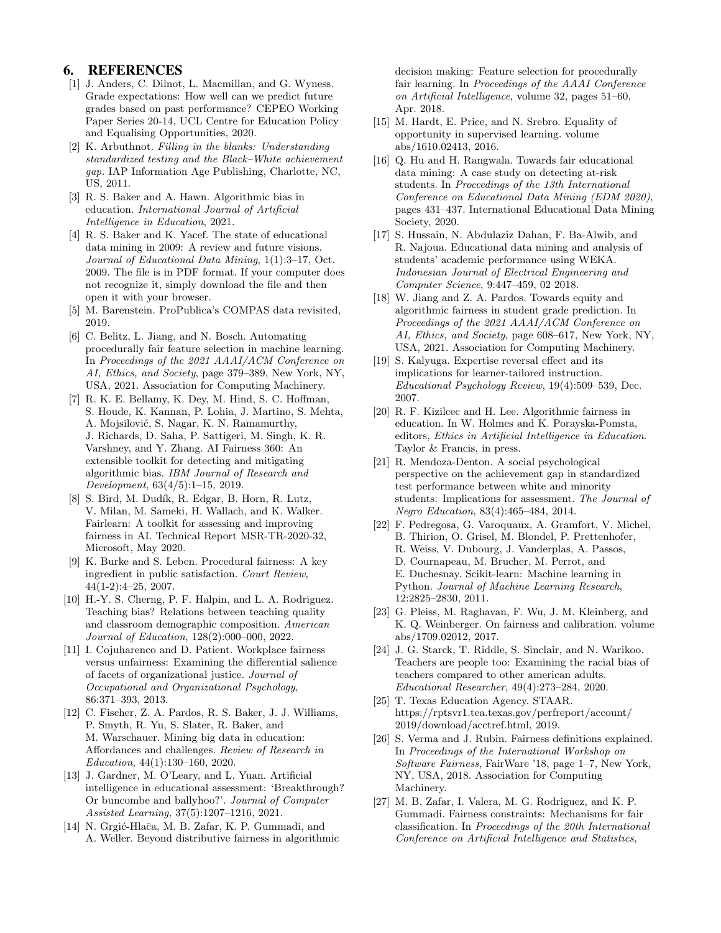## 6. REFERENCES

- [1] J. Anders, C. Dilnot, L. Macmillan, and G. Wyness. Grade expectations: How well can we predict future grades based on past performance? CEPEO Working Paper Series 20-14, UCL Centre for Education Policy and Equalising Opportunities, 2020.
- [2] K. Arbuthnot. Filling in the blanks: Understanding standardized testing and the Black–White achievement gap. IAP Information Age Publishing, Charlotte, NC, US, 2011.
- [3] R. S. Baker and A. Hawn. Algorithmic bias in education. International Journal of Artificial Intelligence in Education, 2021.
- [4] R. S. Baker and K. Yacef. The state of educational data mining in 2009: A review and future visions. Journal of Educational Data Mining, 1(1):3–17, Oct. 2009. The file is in PDF format. If your computer does not recognize it, simply download the file and then open it with your browser.
- [5] M. Barenstein. ProPublica's COMPAS data revisited, 2019.
- [6] C. Belitz, L. Jiang, and N. Bosch. Automating procedurally fair feature selection in machine learning. In Proceedings of the 2021 AAAI/ACM Conference on AI, Ethics, and Society, page 379–389, New York, NY, USA, 2021. Association for Computing Machinery.
- [7] R. K. E. Bellamy, K. Dey, M. Hind, S. C. Hoffman, S. Houde, K. Kannan, P. Lohia, J. Martino, S. Mehta, A. Mojsilović, S. Nagar, K. N. Ramamurthy, J. Richards, D. Saha, P. Sattigeri, M. Singh, K. R. Varshney, and Y. Zhang. AI Fairness 360: An extensible toolkit for detecting and mitigating algorithmic bias. IBM Journal of Research and Development, 63(4/5):1–15, 2019.
- [8] S. Bird, M. Dudík, R. Edgar, B. Horn, R. Lutz, V. Milan, M. Sameki, H. Wallach, and K. Walker. Fairlearn: A toolkit for assessing and improving fairness in AI. Technical Report MSR-TR-2020-32, Microsoft, May 2020.
- [9] K. Burke and S. Leben. Procedural fairness: A key ingredient in public satisfaction. Court Review, 44(1-2):4–25, 2007.
- [10] H.-Y. S. Cherng, P. F. Halpin, and L. A. Rodriguez. Teaching bias? Relations between teaching quality and classroom demographic composition. American Journal of Education, 128(2):000–000, 2022.
- [11] I. Cojuharenco and D. Patient. Workplace fairness versus unfairness: Examining the differential salience of facets of organizational justice. Journal of Occupational and Organizational Psychology, 86:371–393, 2013.
- [12] C. Fischer, Z. A. Pardos, R. S. Baker, J. J. Williams, P. Smyth, R. Yu, S. Slater, R. Baker, and M. Warschauer. Mining big data in education: Affordances and challenges. Review of Research in Education, 44(1):130–160, 2020.
- [13] J. Gardner, M. O'Leary, and L. Yuan. Artificial intelligence in educational assessment: 'Breakthrough? Or buncombe and ballyhoo?'. Journal of Computer Assisted Learning, 37(5):1207–1216, 2021.
- [14] N. Grgić-Hlača, M. B. Zafar, K. P. Gummadi, and A. Weller. Beyond distributive fairness in algorithmic

decision making: Feature selection for procedurally fair learning. In Proceedings of the AAAI Conference on Artificial Intelligence, volume 32, pages 51–60, Apr. 2018.

- [15] M. Hardt, E. Price, and N. Srebro. Equality of opportunity in supervised learning. volume abs/1610.02413, 2016.
- [16] Q. Hu and H. Rangwala. Towards fair educational data mining: A case study on detecting at-risk students. In Proceedings of the 13th International Conference on Educational Data Mining (EDM 2020), pages 431–437. International Educational Data Mining Society, 2020.
- [17] S. Hussain, N. Abdulaziz Dahan, F. Ba-Alwib, and R. Najoua. Educational data mining and analysis of students' academic performance using WEKA. Indonesian Journal of Electrical Engineering and Computer Science, 9:447–459, 02 2018.
- [18] W. Jiang and Z. A. Pardos. Towards equity and algorithmic fairness in student grade prediction. In Proceedings of the 2021 AAAI/ACM Conference on AI, Ethics, and Society, page 608–617, New York, NY, USA, 2021. Association for Computing Machinery.
- [19] S. Kalyuga. Expertise reversal effect and its implications for learner-tailored instruction. Educational Psychology Review, 19(4):509–539, Dec. 2007.
- [20] R. F. Kizilcec and H. Lee. Algorithmic fairness in education. In W. Holmes and K. Porayska-Pomsta, editors, Ethics in Artificial Intelligence in Education. Taylor & Francis, in press.
- [21] R. Mendoza-Denton. A social psychological perspective on the achievement gap in standardized test performance between white and minority students: Implications for assessment. The Journal of Negro Education, 83(4):465–484, 2014.
- [22] F. Pedregosa, G. Varoquaux, A. Gramfort, V. Michel, B. Thirion, O. Grisel, M. Blondel, P. Prettenhofer, R. Weiss, V. Dubourg, J. Vanderplas, A. Passos, D. Cournapeau, M. Brucher, M. Perrot, and E. Duchesnay. Scikit-learn: Machine learning in Python. Journal of Machine Learning Research, 12:2825–2830, 2011.
- [23] G. Pleiss, M. Raghavan, F. Wu, J. M. Kleinberg, and K. Q. Weinberger. On fairness and calibration. volume abs/1709.02012, 2017.
- [24] J. G. Starck, T. Riddle, S. Sinclair, and N. Warikoo. Teachers are people too: Examining the racial bias of teachers compared to other american adults. Educational Researcher, 49(4):273–284, 2020.
- [25] T. Texas Education Agency. STAAR. https://rptsvr1.tea.texas.gov/perfreport/account/ 2019/download/acctref.html, 2019.
- [26] S. Verma and J. Rubin. Fairness definitions explained. In Proceedings of the International Workshop on Software Fairness, FairWare '18, page 1–7, New York, NY, USA, 2018. Association for Computing Machinery.
- [27] M. B. Zafar, I. Valera, M. G. Rodriguez, and K. P. Gummadi. Fairness constraints: Mechanisms for fair classification. In Proceedings of the 20th International Conference on Artificial Intelligence and Statistics,